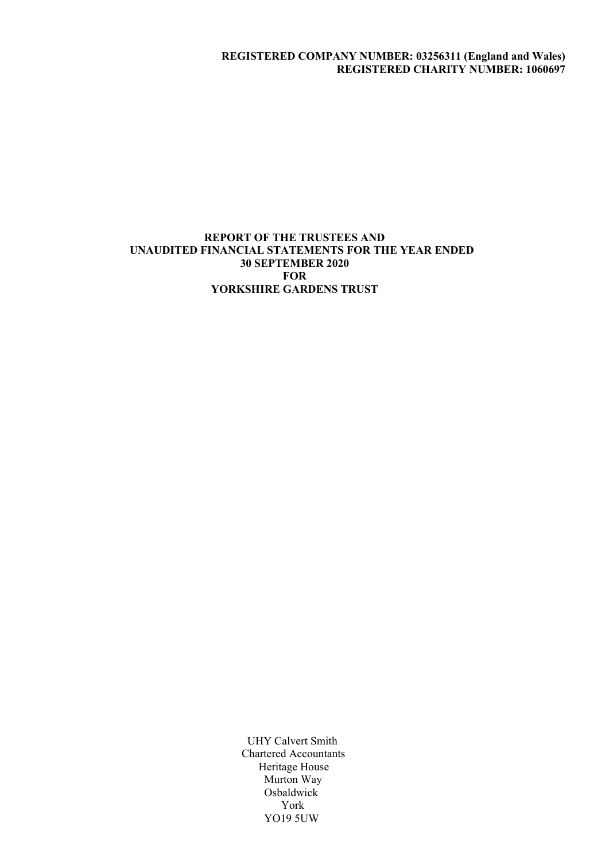## REGISTERED COMPANY NUMBER: 03256311 (England and Wales) REGISTERED CHARITY NUMBER: 1060697

## REPORT OF THE TRUSTEES AND UNAUDITED FINANCIAL STATEMENTS FOR THE YEAR ENDED 30 SEPTEMBER 2020 **FOR** YORKSHIRE GARDENS TRUST

 UHY Calvert Smith Chartered Accountants Heritage House Murton Way **Osbaldwick**  York YO19 5UW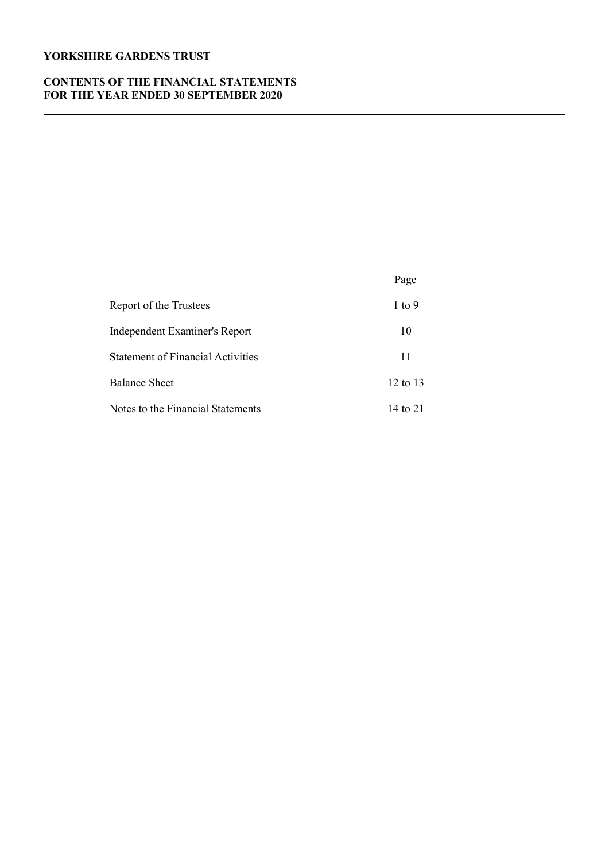## CONTENTS OF THE FINANCIAL STATEMENTS FOR THE YEAR ENDED 30 SEPTEMBER 2020

|                                          | Page         |
|------------------------------------------|--------------|
| Report of the Trustees                   | $1$ to $9$   |
| Independent Examiner's Report            | 10           |
| <b>Statement of Financial Activities</b> | 11           |
| <b>Balance Sheet</b>                     | $12$ to $13$ |
| Notes to the Financial Statements        | 14 to 21     |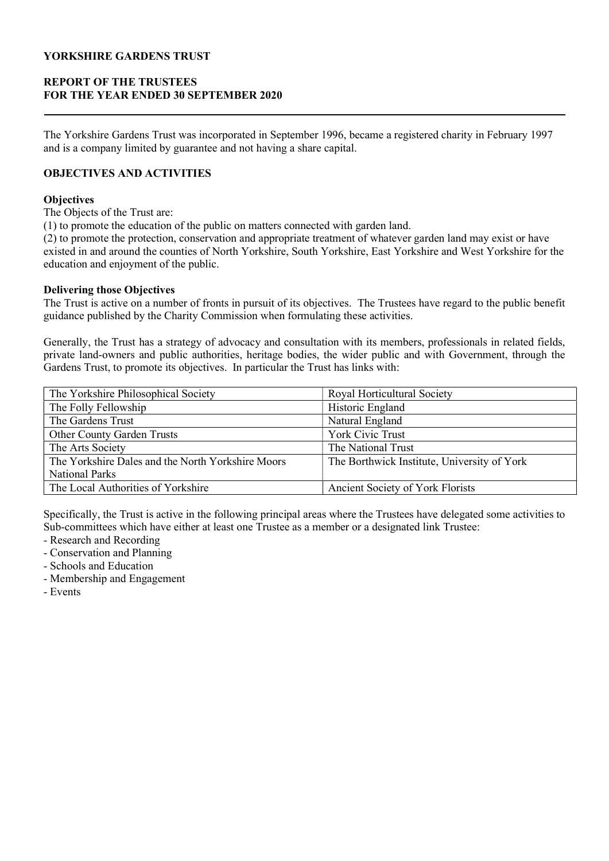# REPORT OF THE TRUSTEES FOR THE YEAR ENDED 30 SEPTEMBER 2020

The Yorkshire Gardens Trust was incorporated in September 1996, became a registered charity in February 1997 and is a company limited by guarantee and not having a share capital.

# OBJECTIVES AND ACTIVITIES

## **Objectives**

The Objects of the Trust are:

(1) to promote the education of the public on matters connected with garden land.

(2) to promote the protection, conservation and appropriate treatment of whatever garden land may exist or have existed in and around the counties of North Yorkshire, South Yorkshire, East Yorkshire and West Yorkshire for the education and enjoyment of the public.

### Delivering those Objectives

The Trust is active on a number of fronts in pursuit of its objectives. The Trustees have regard to the public benefit guidance published by the Charity Commission when formulating these activities.

Generally, the Trust has a strategy of advocacy and consultation with its members, professionals in related fields, private land-owners and public authorities, heritage bodies, the wider public and with Government, through the Gardens Trust, to promote its objectives. In particular the Trust has links with:

| The Yorkshire Philosophical Society               | Royal Horticultural Society                 |
|---------------------------------------------------|---------------------------------------------|
| The Folly Fellowship                              | Historic England                            |
| The Gardens Trust                                 | Natural England                             |
| <b>Other County Garden Trusts</b>                 | <b>York Civic Trust</b>                     |
| The Arts Society                                  | The National Trust                          |
| The Yorkshire Dales and the North Yorkshire Moors | The Borthwick Institute, University of York |
| <b>National Parks</b>                             |                                             |
| The Local Authorities of Yorkshire                | Ancient Society of York Florists            |

Specifically, the Trust is active in the following principal areas where the Trustees have delegated some activities to Sub-committees which have either at least one Trustee as a member or a designated link Trustee:

- Research and Recording
- Conservation and Planning
- Schools and Education
- Membership and Engagement
- Events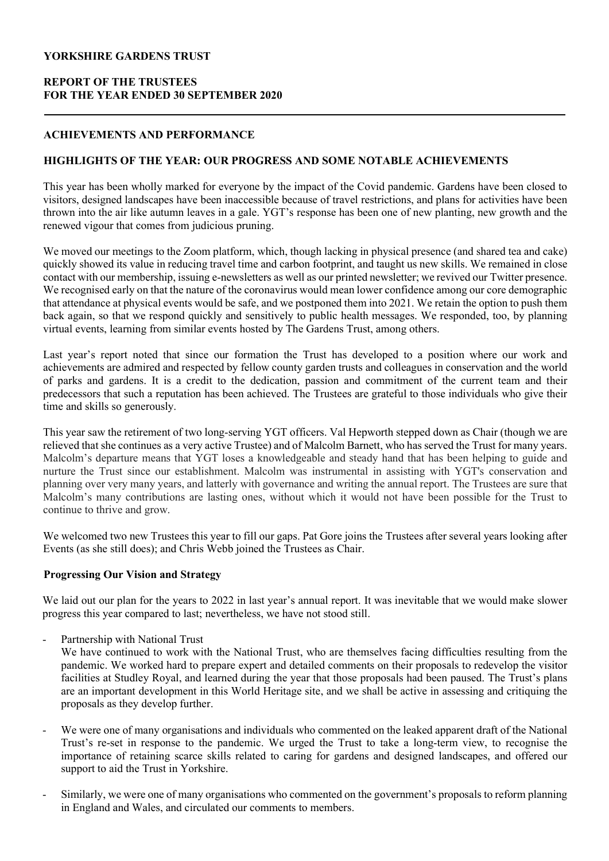# REPORT OF THE TRUSTEES FOR THE YEAR ENDED 30 SEPTEMBER 2020

## ACHIEVEMENTS AND PERFORMANCE

## HIGHLIGHTS OF THE YEAR: OUR PROGRESS AND SOME NOTABLE ACHIEVEMENTS

This year has been wholly marked for everyone by the impact of the Covid pandemic. Gardens have been closed to visitors, designed landscapes have been inaccessible because of travel restrictions, and plans for activities have been thrown into the air like autumn leaves in a gale. YGT's response has been one of new planting, new growth and the renewed vigour that comes from judicious pruning.

We moved our meetings to the Zoom platform, which, though lacking in physical presence (and shared tea and cake) quickly showed its value in reducing travel time and carbon footprint, and taught us new skills. We remained in close contact with our membership, issuing e-newsletters as well as our printed newsletter; we revived our Twitter presence. We recognised early on that the nature of the coronavirus would mean lower confidence among our core demographic that attendance at physical events would be safe, and we postponed them into 2021. We retain the option to push them back again, so that we respond quickly and sensitively to public health messages. We responded, too, by planning virtual events, learning from similar events hosted by The Gardens Trust, among others.

Last year's report noted that since our formation the Trust has developed to a position where our work and achievements are admired and respected by fellow county garden trusts and colleagues in conservation and the world of parks and gardens. It is a credit to the dedication, passion and commitment of the current team and their predecessors that such a reputation has been achieved. The Trustees are grateful to those individuals who give their time and skills so generously.

This year saw the retirement of two long-serving YGT officers. Val Hepworth stepped down as Chair (though we are relieved that she continues as a very active Trustee) and of Malcolm Barnett, who has served the Trust for many years. Malcolm's departure means that YGT loses a knowledgeable and steady hand that has been helping to guide and nurture the Trust since our establishment. Malcolm was instrumental in assisting with YGT's conservation and planning over very many years, and latterly with governance and writing the annual report. The Trustees are sure that Malcolm's many contributions are lasting ones, without which it would not have been possible for the Trust to continue to thrive and grow.

We welcomed two new Trustees this year to fill our gaps. Pat Gore joins the Trustees after several years looking after Events (as she still does); and Chris Webb joined the Trustees as Chair.

## Progressing Our Vision and Strategy

We laid out our plan for the years to 2022 in last year's annual report. It was inevitable that we would make slower progress this year compared to last; nevertheless, we have not stood still.

- Partnership with National Trust

We have continued to work with the National Trust, who are themselves facing difficulties resulting from the pandemic. We worked hard to prepare expert and detailed comments on their proposals to redevelop the visitor facilities at Studley Royal, and learned during the year that those proposals had been paused. The Trust's plans are an important development in this World Heritage site, and we shall be active in assessing and critiquing the proposals as they develop further.

- We were one of many organisations and individuals who commented on the leaked apparent draft of the National Trust's re-set in response to the pandemic. We urged the Trust to take a long-term view, to recognise the importance of retaining scarce skills related to caring for gardens and designed landscapes, and offered our support to aid the Trust in Yorkshire.
- Similarly, we were one of many organisations who commented on the government's proposals to reform planning in England and Wales, and circulated our comments to members.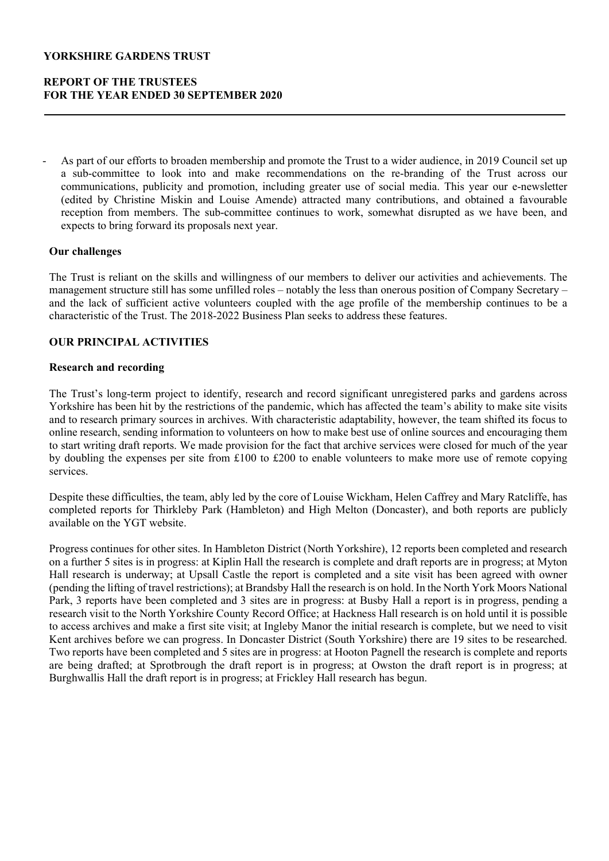# REPORT OF THE TRUSTEES FOR THE YEAR ENDED 30 SEPTEMBER 2020

As part of our efforts to broaden membership and promote the Trust to a wider audience, in 2019 Council set up a sub-committee to look into and make recommendations on the re-branding of the Trust across our communications, publicity and promotion, including greater use of social media. This year our e-newsletter (edited by Christine Miskin and Louise Amende) attracted many contributions, and obtained a favourable reception from members. The sub-committee continues to work, somewhat disrupted as we have been, and expects to bring forward its proposals next year.

### Our challenges

The Trust is reliant on the skills and willingness of our members to deliver our activities and achievements. The management structure still has some unfilled roles – notably the less than onerous position of Company Secretary – and the lack of sufficient active volunteers coupled with the age profile of the membership continues to be a characteristic of the Trust. The 2018-2022 Business Plan seeks to address these features.

### OUR PRINCIPAL ACTIVITIES

### Research and recording

The Trust's long-term project to identify, research and record significant unregistered parks and gardens across Yorkshire has been hit by the restrictions of the pandemic, which has affected the team's ability to make site visits and to research primary sources in archives. With characteristic adaptability, however, the team shifted its focus to online research, sending information to volunteers on how to make best use of online sources and encouraging them to start writing draft reports. We made provision for the fact that archive services were closed for much of the year by doubling the expenses per site from £100 to £200 to enable volunteers to make more use of remote copying services.

Despite these difficulties, the team, ably led by the core of Louise Wickham, Helen Caffrey and Mary Ratcliffe, has completed reports for Thirkleby Park (Hambleton) and High Melton (Doncaster), and both reports are publicly available on the YGT website.

Progress continues for other sites. In Hambleton District (North Yorkshire), 12 reports been completed and research on a further 5 sites is in progress: at Kiplin Hall the research is complete and draft reports are in progress; at Myton Hall research is underway; at Upsall Castle the report is completed and a site visit has been agreed with owner (pending the lifting of travel restrictions); at Brandsby Hall the research is on hold. In the North York Moors National Park, 3 reports have been completed and 3 sites are in progress: at Busby Hall a report is in progress, pending a research visit to the North Yorkshire County Record Office; at Hackness Hall research is on hold until it is possible to access archives and make a first site visit; at Ingleby Manor the initial research is complete, but we need to visit Kent archives before we can progress. In Doncaster District (South Yorkshire) there are 19 sites to be researched. Two reports have been completed and 5 sites are in progress: at Hooton Pagnell the research is complete and reports are being drafted; at Sprotbrough the draft report is in progress; at Owston the draft report is in progress; at Burghwallis Hall the draft report is in progress; at Frickley Hall research has begun.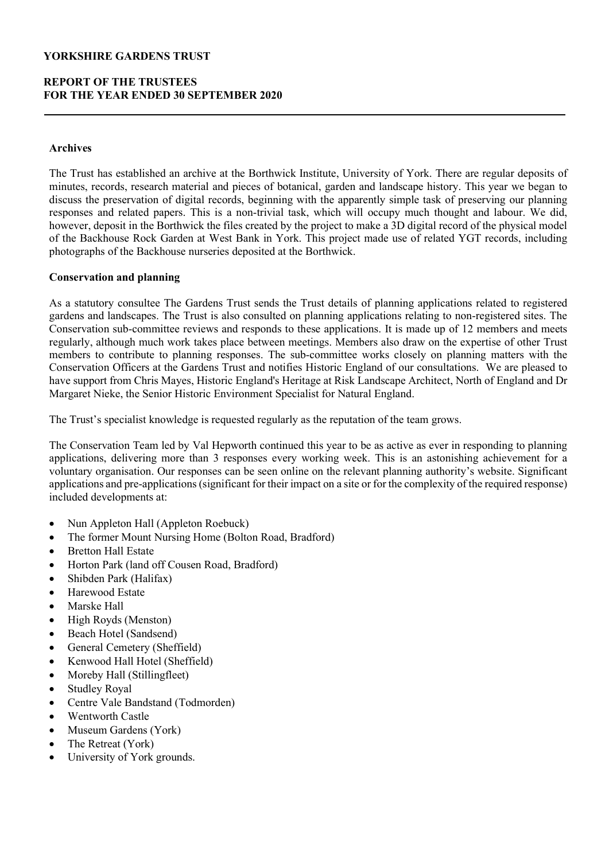## REPORT OF THE TRUSTEES FOR THE YEAR ENDED 30 SEPTEMBER 2020

### Archives

The Trust has established an archive at the Borthwick Institute, University of York. There are regular deposits of minutes, records, research material and pieces of botanical, garden and landscape history. This year we began to discuss the preservation of digital records, beginning with the apparently simple task of preserving our planning responses and related papers. This is a non-trivial task, which will occupy much thought and labour. We did, however, deposit in the Borthwick the files created by the project to make a 3D digital record of the physical model of the Backhouse Rock Garden at West Bank in York. This project made use of related YGT records, including photographs of the Backhouse nurseries deposited at the Borthwick.

### Conservation and planning

As a statutory consultee The Gardens Trust sends the Trust details of planning applications related to registered gardens and landscapes. The Trust is also consulted on planning applications relating to non-registered sites. The Conservation sub-committee reviews and responds to these applications. It is made up of 12 members and meets regularly, although much work takes place between meetings. Members also draw on the expertise of other Trust members to contribute to planning responses. The sub-committee works closely on planning matters with the Conservation Officers at the Gardens Trust and notifies Historic England of our consultations. We are pleased to have support from Chris Mayes, Historic England's Heritage at Risk Landscape Architect, North of England and Dr Margaret Nieke, the Senior Historic Environment Specialist for Natural England.

The Trust's specialist knowledge is requested regularly as the reputation of the team grows.

The Conservation Team led by Val Hepworth continued this year to be as active as ever in responding to planning applications, delivering more than 3 responses every working week. This is an astonishing achievement for a voluntary organisation. Our responses can be seen online on the relevant planning authority's website. Significant applications and pre-applications (significant for their impact on a site or for the complexity of the required response) included developments at:

- Nun Appleton Hall (Appleton Roebuck)
- The former Mount Nursing Home (Bolton Road, Bradford)
- Bretton Hall Estate
- Horton Park (land off Cousen Road, Bradford)
- Shibden Park (Halifax)
- Harewood Estate
- Marske Hall
- High Royds (Menston)
- Beach Hotel (Sandsend)
- General Cemetery (Sheffield)
- Kenwood Hall Hotel (Sheffield)
- Moreby Hall (Stillingfleet)
- Studley Royal
- Centre Vale Bandstand (Todmorden)
- Wentworth Castle
- Museum Gardens (York)
- The Retreat (York)
- University of York grounds.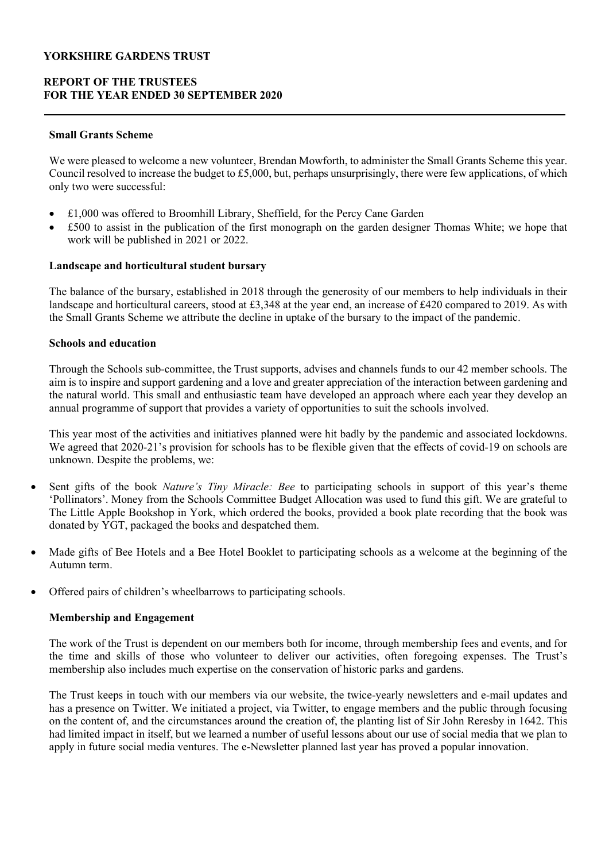# REPORT OF THE TRUSTEES FOR THE YEAR ENDED 30 SEPTEMBER 2020

## Small Grants Scheme

We were pleased to welcome a new volunteer, Brendan Mowforth, to administer the Small Grants Scheme this year. Council resolved to increase the budget to £5,000, but, perhaps unsurprisingly, there were few applications, of which only two were successful:

- £1,000 was offered to Broomhill Library, Sheffield, for the Percy Cane Garden
- £500 to assist in the publication of the first monograph on the garden designer Thomas White; we hope that work will be published in 2021 or 2022.

## Landscape and horticultural student bursary

The balance of the bursary, established in 2018 through the generosity of our members to help individuals in their landscape and horticultural careers, stood at £3,348 at the year end, an increase of £420 compared to 2019. As with the Small Grants Scheme we attribute the decline in uptake of the bursary to the impact of the pandemic.

## Schools and education

Through the Schools sub-committee, the Trust supports, advises and channels funds to our 42 member schools. The aim is to inspire and support gardening and a love and greater appreciation of the interaction between gardening and the natural world. This small and enthusiastic team have developed an approach where each year they develop an annual programme of support that provides a variety of opportunities to suit the schools involved.

This year most of the activities and initiatives planned were hit badly by the pandemic and associated lockdowns. We agreed that 2020-21's provision for schools has to be flexible given that the effects of covid-19 on schools are unknown. Despite the problems, we:

- Sent gifts of the book Nature's Tiny Miracle: Bee to participating schools in support of this year's theme 'Pollinators'. Money from the Schools Committee Budget Allocation was used to fund this gift. We are grateful to The Little Apple Bookshop in York, which ordered the books, provided a book plate recording that the book was donated by YGT, packaged the books and despatched them.
- Made gifts of Bee Hotels and a Bee Hotel Booklet to participating schools as a welcome at the beginning of the Autumn term.
- Offered pairs of children's wheelbarrows to participating schools.

## Membership and Engagement

The work of the Trust is dependent on our members both for income, through membership fees and events, and for the time and skills of those who volunteer to deliver our activities, often foregoing expenses. The Trust's membership also includes much expertise on the conservation of historic parks and gardens.

The Trust keeps in touch with our members via our website, the twice-yearly newsletters and e-mail updates and has a presence on Twitter. We initiated a project, via Twitter, to engage members and the public through focusing on the content of, and the circumstances around the creation of, the planting list of Sir John Reresby in 1642. This had limited impact in itself, but we learned a number of useful lessons about our use of social media that we plan to apply in future social media ventures. The e-Newsletter planned last year has proved a popular innovation.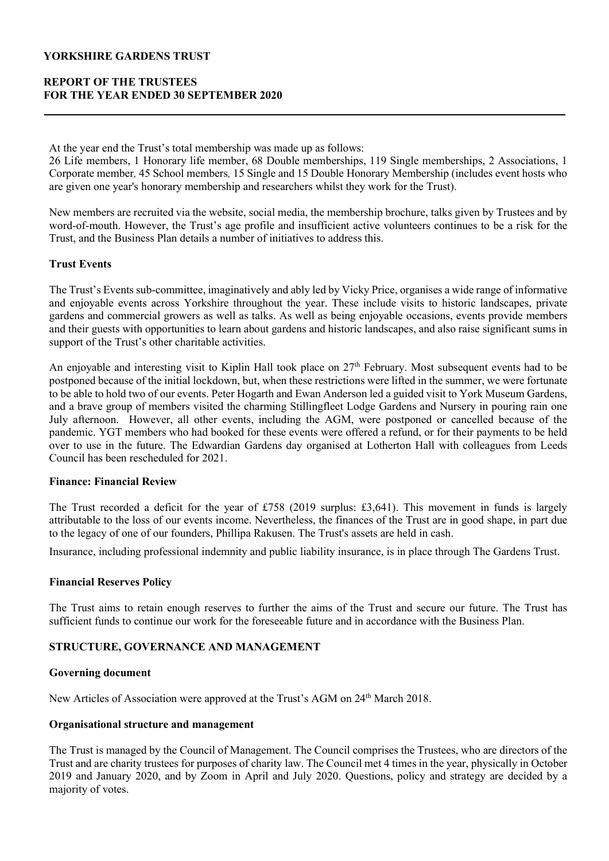# REPORT OF THE TRUSTEES FOR THE YEAR ENDED 30 SEPTEMBER 2020

At the year end the Trust's total membership was made up as follows:

26 Life members, 1 Honorary life member, 68 Double memberships, 119 Single memberships, 2 Associations, 1 Corporate member, 45 School members, 15 Single and 15 Double Honorary Membership (includes event hosts who are given one year's honorary membership and researchers whilst they work for the Trust).

New members are recruited via the website, social media, the membership brochure, talks given by Trustees and by word-of-mouth. However, the Trust's age profile and insufficient active volunteers continues to be a risk for the Trust, and the Business Plan details a number of initiatives to address this.

## Trust Events

The Trust's Events sub-committee, imaginatively and ably led by Vicky Price, organises a wide range of informative and enjoyable events across Yorkshire throughout the year. These include visits to historic landscapes, private gardens and commercial growers as well as talks. As well as being enjoyable occasions, events provide members and their guests with opportunities to learn about gardens and historic landscapes, and also raise significant sums in support of the Trust's other charitable activities.

An enjoyable and interesting visit to Kiplin Hall took place on 27<sup>th</sup> February. Most subsequent events had to be postponed because of the initial lockdown, but, when these restrictions were lifted in the summer, we were fortunate to be able to hold two of our events. Peter Hogarth and Ewan Anderson led a guided visit to York Museum Gardens, and a brave group of members visited the charming Stillingfleet Lodge Gardens and Nursery in pouring rain one July afternoon. However, all other events, including the AGM, were postponed or cancelled because of the pandemic. YGT members who had booked for these events were offered a refund, or for their payments to be held over to use in the future. The Edwardian Gardens day organised at Lotherton Hall with colleagues from Leeds Council has been rescheduled for 2021.

## Finance: Financial Review

The Trust recorded a deficit for the year of £758 (2019 surplus: £3,641). This movement in funds is largely attributable to the loss of our events income. Nevertheless, the finances of the Trust are in good shape, in part due to the legacy of one of our founders, Phillipa Rakusen. The Trust's assets are held in cash.

Insurance, including professional indemnity and public liability insurance, is in place through The Gardens Trust.

## Financial Reserves Policy

The Trust aims to retain enough reserves to further the aims of the Trust and secure our future. The Trust has sufficient funds to continue our work for the foreseeable future and in accordance with the Business Plan.

# STRUCTURE, GOVERNANCE AND MANAGEMENT

## Governing document

New Articles of Association were approved at the Trust's AGM on 24<sup>th</sup> March 2018.

## Organisational structure and management

The Trust is managed by the Council of Management. The Council comprises the Trustees, who are directors of the Trust and are charity trustees for purposes of charity law. The Council met 4 times in the year, physically in October 2019 and January 2020, and by Zoom in April and July 2020. Questions, policy and strategy are decided by a majority of votes.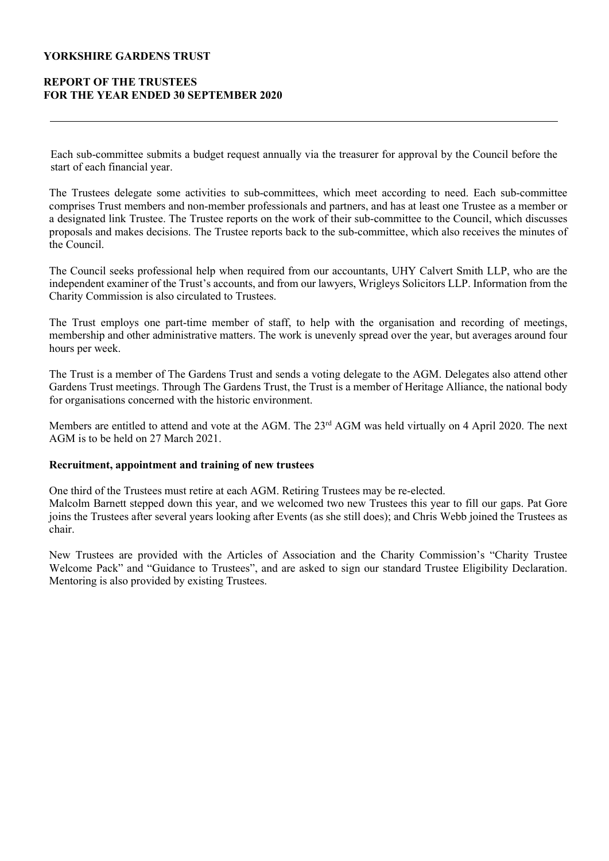## REPORT OF THE TRUSTEES FOR THE YEAR ENDED 30 SEPTEMBER 2020

Each sub-committee submits a budget request annually via the treasurer for approval by the Council before the start of each financial year.

The Trustees delegate some activities to sub-committees, which meet according to need. Each sub-committee comprises Trust members and non-member professionals and partners, and has at least one Trustee as a member or a designated link Trustee. The Trustee reports on the work of their sub-committee to the Council, which discusses proposals and makes decisions. The Trustee reports back to the sub-committee, which also receives the minutes of the Council.

The Council seeks professional help when required from our accountants, UHY Calvert Smith LLP, who are the independent examiner of the Trust's accounts, and from our lawyers, Wrigleys Solicitors LLP. Information from the Charity Commission is also circulated to Trustees.

The Trust employs one part-time member of staff, to help with the organisation and recording of meetings, membership and other administrative matters. The work is unevenly spread over the year, but averages around four hours per week.

The Trust is a member of The Gardens Trust and sends a voting delegate to the AGM. Delegates also attend other Gardens Trust meetings. Through The Gardens Trust, the Trust is a member of Heritage Alliance, the national body for organisations concerned with the historic environment.

Members are entitled to attend and vote at the AGM. The 23<sup>rd</sup> AGM was held virtually on 4 April 2020. The next AGM is to be held on 27 March 2021.

### Recruitment, appointment and training of new trustees

One third of the Trustees must retire at each AGM. Retiring Trustees may be re-elected.

Malcolm Barnett stepped down this year, and we welcomed two new Trustees this year to fill our gaps. Pat Gore joins the Trustees after several years looking after Events (as she still does); and Chris Webb joined the Trustees as chair.

New Trustees are provided with the Articles of Association and the Charity Commission's "Charity Trustee Welcome Pack" and "Guidance to Trustees", and are asked to sign our standard Trustee Eligibility Declaration. Mentoring is also provided by existing Trustees.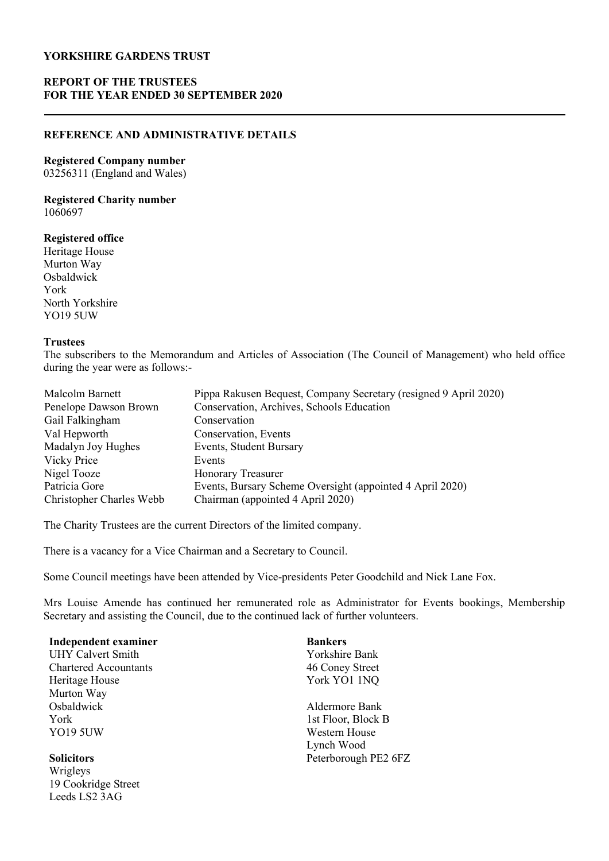# REPORT OF THE TRUSTEES FOR THE YEAR ENDED 30 SEPTEMBER 2020

## REFERENCE AND ADMINISTRATIVE DETAILS

## Registered Company number

03256311 (England and Wales)

### Registered Charity number 1060697

## Registered office

Heritage House Murton Way Osbaldwick York North Yorkshire YO19 5UW

19 Cookridge Street Leeds LS2 3AG

### **Trustees**

The subscribers to the Memorandum and Articles of Association (The Council of Management) who held office during the year were as follows:-

| Pippa Rakusen Bequest, Company Secretary (resigned 9 April 2020) |
|------------------------------------------------------------------|
| Conservation, Archives, Schools Education                        |
| Conservation                                                     |
| Conservation, Events                                             |
| Events, Student Bursary                                          |
| Events                                                           |
| <b>Honorary Treasurer</b>                                        |
| Events, Bursary Scheme Oversight (appointed 4 April 2020)        |
| Chairman (appointed 4 April 2020)                                |
|                                                                  |

The Charity Trustees are the current Directors of the limited company.

There is a vacancy for a Vice Chairman and a Secretary to Council.

Some Council meetings have been attended by Vice-presidents Peter Goodchild and Nick Lane Fox.

Mrs Louise Amende has continued her remunerated role as Administrator for Events bookings, Membership Secretary and assisting the Council, due to the continued lack of further volunteers.

| <b>Independent examiner</b>  | <b>Bankers</b>       |
|------------------------------|----------------------|
| <b>UHY Calvert Smith</b>     | Yorkshire Bank       |
| <b>Chartered Accountants</b> | 46 Coney Street      |
| Heritage House               | York YO1 1NQ         |
| Murton Way                   |                      |
| Osbaldwick                   | Aldermore Bank       |
| York                         | 1st Floor, Block B   |
| <b>YO19 5UW</b>              | Western House        |
|                              | Lynch Wood           |
| <b>Solicitors</b>            | Peterborough PE2 6FZ |
| Wrigleys                     |                      |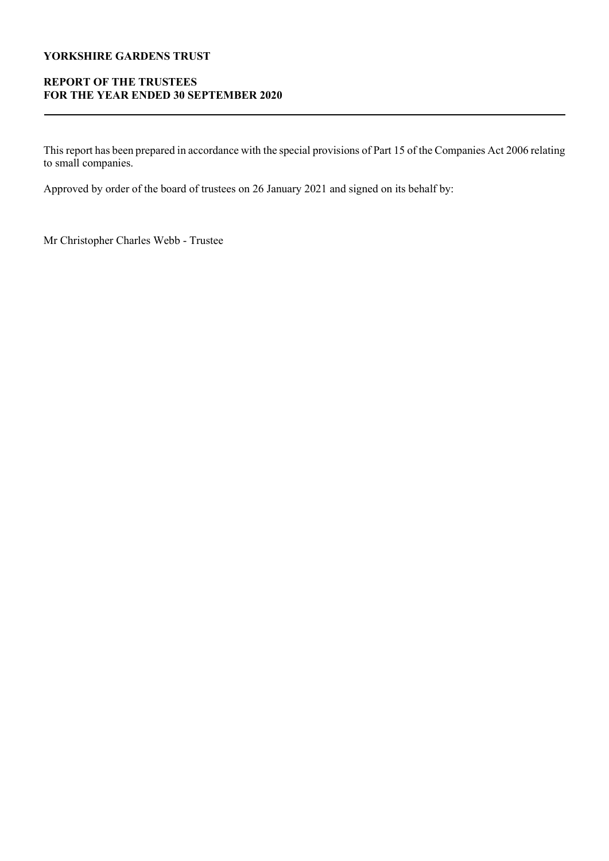# REPORT OF THE TRUSTEES FOR THE YEAR ENDED 30 SEPTEMBER 2020

This report has been prepared in accordance with the special provisions of Part 15 of the Companies Act 2006 relating to small companies.

Approved by order of the board of trustees on 26 January 2021 and signed on its behalf by:

Mr Christopher Charles Webb - Trustee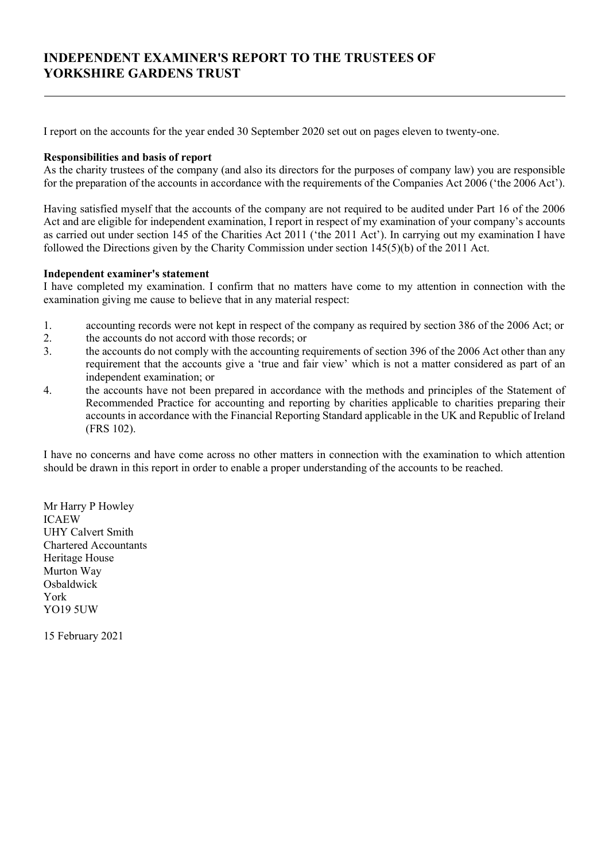# INDEPENDENT EXAMINER'S REPORT TO THE TRUSTEES OF YORKSHIRE GARDENS TRUST

I report on the accounts for the year ended 30 September 2020 set out on pages eleven to twenty-one.

## Responsibilities and basis of report

As the charity trustees of the company (and also its directors for the purposes of company law) you are responsible for the preparation of the accounts in accordance with the requirements of the Companies Act 2006 ('the 2006 Act').

Having satisfied myself that the accounts of the company are not required to be audited under Part 16 of the 2006 Act and are eligible for independent examination, I report in respect of my examination of your company's accounts as carried out under section 145 of the Charities Act 2011 ('the 2011 Act'). In carrying out my examination I have followed the Directions given by the Charity Commission under section 145(5)(b) of the 2011 Act.

## Independent examiner's statement

I have completed my examination. I confirm that no matters have come to my attention in connection with the examination giving me cause to believe that in any material respect:

- 1. accounting records were not kept in respect of the company as required by section 386 of the 2006 Act; or
- 2. the accounts do not accord with those records; or
- 3. the accounts do not comply with the accounting requirements of section 396 of the 2006 Act other than any requirement that the accounts give a 'true and fair view' which is not a matter considered as part of an independent examination; or
- 4. the accounts have not been prepared in accordance with the methods and principles of the Statement of Recommended Practice for accounting and reporting by charities applicable to charities preparing their accounts in accordance with the Financial Reporting Standard applicable in the UK and Republic of Ireland (FRS 102).

I have no concerns and have come across no other matters in connection with the examination to which attention should be drawn in this report in order to enable a proper understanding of the accounts to be reached.

Mr Harry P Howley ICAEW UHY Calvert Smith Chartered Accountants Heritage House Murton Way **Osbaldwick**  York YO19 5UW

15 February 2021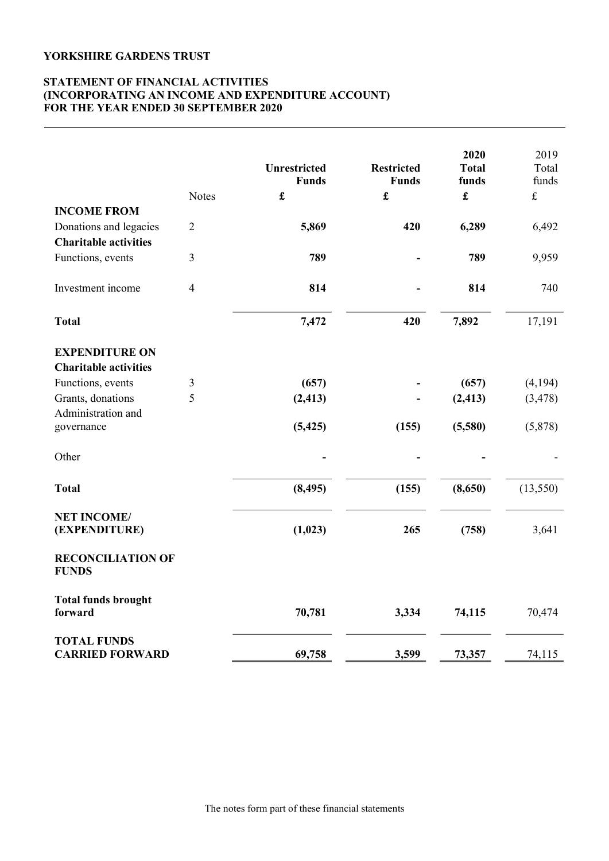## STATEMENT OF FINANCIAL ACTIVITIES (INCORPORATING AN INCOME AND EXPENDITURE ACCOUNT) FOR THE YEAR ENDED 30 SEPTEMBER 2020

|                                              | <b>Notes</b>   | Unrestricted<br><b>Funds</b><br>$\pmb{\mathfrak{L}}$ | <b>Restricted</b><br><b>Funds</b><br>£ | 2020<br><b>Total</b><br>funds<br>$\mathbf f$ | 2019<br>Total<br>funds<br>$\pounds$ |
|----------------------------------------------|----------------|------------------------------------------------------|----------------------------------------|----------------------------------------------|-------------------------------------|
| <b>INCOME FROM</b>                           |                |                                                      |                                        |                                              |                                     |
| Donations and legacies                       | $\overline{2}$ | 5,869                                                | 420                                    | 6,289                                        | 6,492                               |
| <b>Charitable activities</b>                 |                |                                                      |                                        |                                              |                                     |
| Functions, events                            | 3              | 789                                                  |                                        | 789                                          | 9,959                               |
| Investment income                            | 4              | 814                                                  |                                        | 814                                          | 740                                 |
| <b>Total</b>                                 |                | 7,472                                                | 420                                    | 7,892                                        | 17,191                              |
| <b>EXPENDITURE ON</b>                        |                |                                                      |                                        |                                              |                                     |
| <b>Charitable activities</b>                 |                |                                                      |                                        |                                              |                                     |
| Functions, events                            | 3              | (657)                                                |                                        | (657)                                        | (4,194)                             |
| Grants, donations                            | 5              | (2, 413)                                             |                                        | (2, 413)                                     | (3, 478)                            |
| Administration and<br>governance             |                | (5, 425)                                             | (155)                                  | (5,580)                                      | (5,878)                             |
| Other                                        |                |                                                      |                                        |                                              |                                     |
| <b>Total</b>                                 |                | (8, 495)                                             | (155)                                  | (8,650)                                      | (13, 550)                           |
| <b>NET INCOME/</b><br>(EXPENDITURE)          |                | (1,023)                                              | 265                                    | (758)                                        | 3,641                               |
| <b>RECONCILIATION OF</b><br><b>FUNDS</b>     |                |                                                      |                                        |                                              |                                     |
| <b>Total funds brought</b><br>forward        |                | 70,781                                               | 3,334                                  | 74,115                                       | 70,474                              |
| <b>TOTAL FUNDS</b><br><b>CARRIED FORWARD</b> |                | 69,758                                               | 3,599                                  | 73,357                                       | 74,115                              |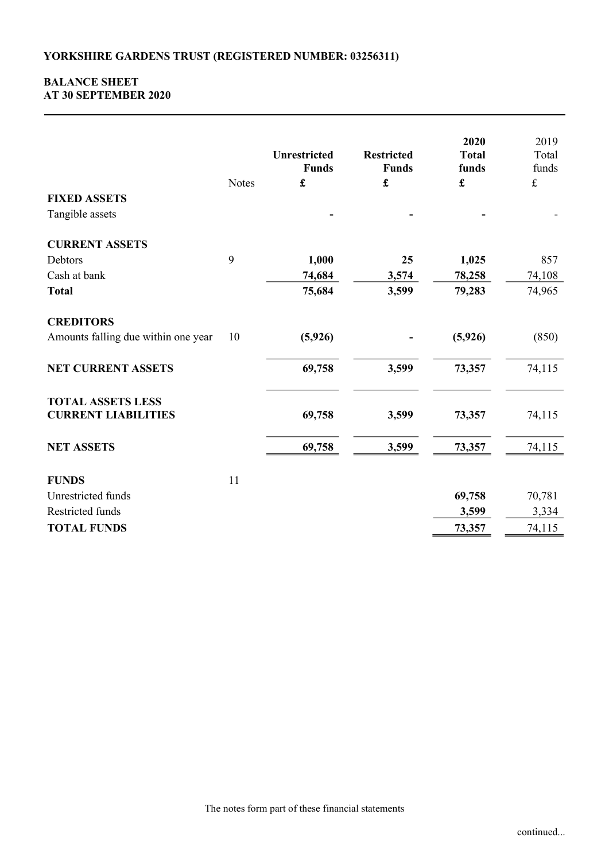## BALANCE SHEET AT 30 SEPTEMBER 2020

|                                                        | <b>Notes</b> | <b>Unrestricted</b><br><b>Funds</b><br>£ | <b>Restricted</b><br><b>Funds</b><br>$\pmb{\mathfrak{L}}$ | 2020<br><b>Total</b><br>funds<br>$\pmb{\mathfrak{L}}$ | 2019<br>Total<br>funds<br>$\pounds$ |
|--------------------------------------------------------|--------------|------------------------------------------|-----------------------------------------------------------|-------------------------------------------------------|-------------------------------------|
| <b>FIXED ASSETS</b>                                    |              |                                          |                                                           |                                                       |                                     |
| Tangible assets                                        |              |                                          |                                                           |                                                       |                                     |
| <b>CURRENT ASSETS</b>                                  |              |                                          |                                                           |                                                       |                                     |
| Debtors                                                | 9            | 1,000                                    | 25                                                        | 1,025                                                 | 857                                 |
| Cash at bank                                           |              | 74,684                                   | 3,574                                                     | 78,258                                                | 74,108                              |
| <b>Total</b>                                           |              | 75,684                                   | 3,599                                                     | 79,283                                                | 74,965                              |
| <b>CREDITORS</b>                                       |              |                                          |                                                           |                                                       |                                     |
| Amounts falling due within one year                    | 10           | (5, 926)                                 |                                                           | (5,926)                                               | (850)                               |
| <b>NET CURRENT ASSETS</b>                              |              | 69,758                                   | 3,599                                                     | 73,357                                                | 74,115                              |
| <b>TOTAL ASSETS LESS</b><br><b>CURRENT LIABILITIES</b> |              | 69,758                                   | 3,599                                                     | 73,357                                                | 74,115                              |
| <b>NET ASSETS</b>                                      |              | 69,758                                   | 3,599                                                     | 73,357                                                | 74,115                              |
| <b>FUNDS</b>                                           | 11           |                                          |                                                           |                                                       |                                     |
| Unrestricted funds                                     |              |                                          |                                                           | 69,758                                                | 70,781                              |
| Restricted funds                                       |              |                                          |                                                           | 3,599                                                 | 3,334                               |
| <b>TOTAL FUNDS</b>                                     |              |                                          |                                                           | 73,357                                                | 74,115                              |
|                                                        |              |                                          |                                                           |                                                       |                                     |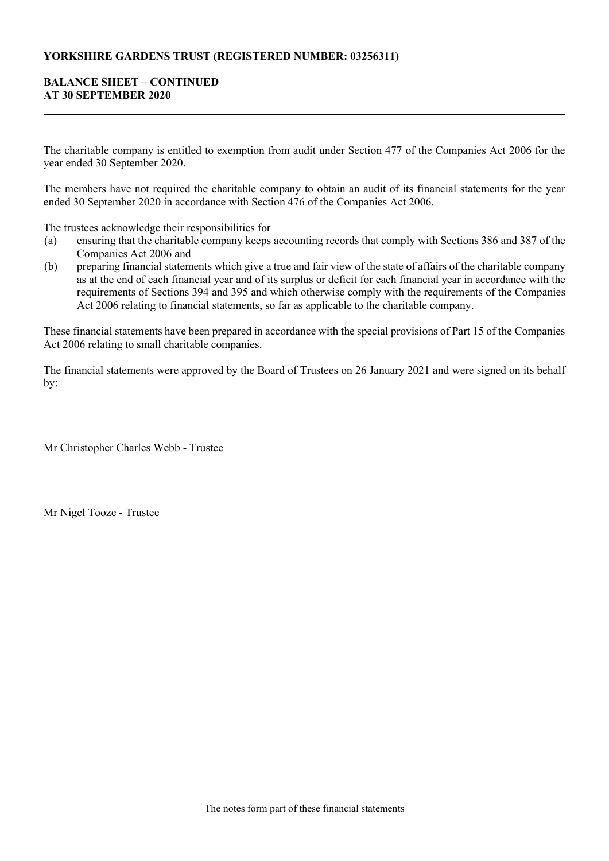## YORKSHIRE GARDENS TRUST (REGISTERED NUMBER: 03256311)

## BALANCE SHEET – CONTINUED AT 30 SEPTEMBER 2020

The charitable company is entitled to exemption from audit under Section 477 of the Companies Act 2006 for the year ended 30 September 2020.

The members have not required the charitable company to obtain an audit of its financial statements for the year ended 30 September 2020 in accordance with Section 476 of the Companies Act 2006.

The trustees acknowledge their responsibilities for

- (a) ensuring that the charitable company keeps accounting records that comply with Sections 386 and 387 of the Companies Act 2006 and
- (b) preparing financial statements which give a true and fair view of the state of affairs of the charitable company as at the end of each financial year and of its surplus or deficit for each financial year in accordance with the requirements of Sections 394 and 395 and which otherwise comply with the requirements of the Companies Act 2006 relating to financial statements, so far as applicable to the charitable company.

These financial statements have been prepared in accordance with the special provisions of Part 15 of the Companies Act 2006 relating to small charitable companies.

The financial statements were approved by the Board of Trustees on 26 January 2021 and were signed on its behalf by:

Mr Christopher Charles Webb - Trustee

Mr Nigel Tooze - Trustee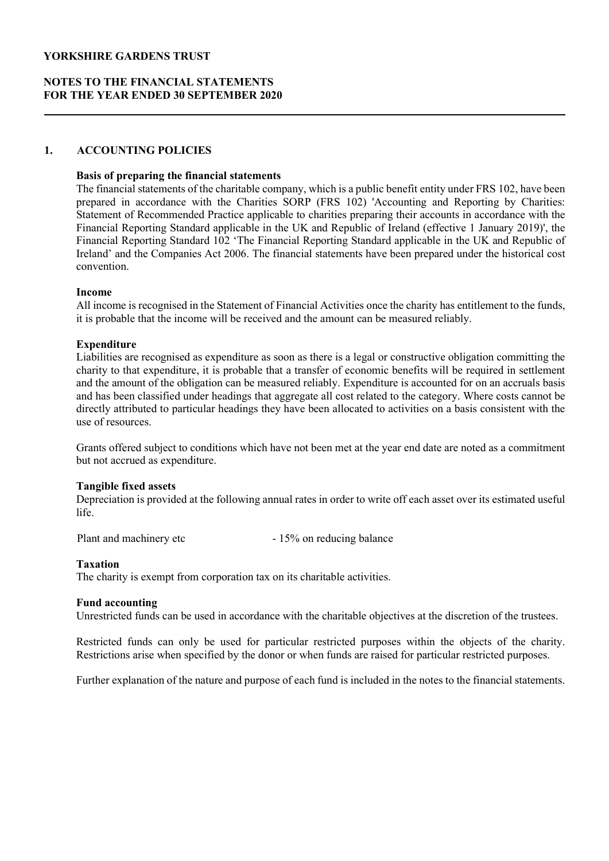## NOTES TO THE FINANCIAL STATEMENTS FOR THE YEAR ENDED 30 SEPTEMBER 2020

### 1. ACCOUNTING POLICIES

### Basis of preparing the financial statements

The financial statements of the charitable company, which is a public benefit entity under FRS 102, have been prepared in accordance with the Charities SORP (FRS 102) 'Accounting and Reporting by Charities: Statement of Recommended Practice applicable to charities preparing their accounts in accordance with the Financial Reporting Standard applicable in the UK and Republic of Ireland (effective 1 January 2019)', the Financial Reporting Standard 102 'The Financial Reporting Standard applicable in the UK and Republic of Ireland' and the Companies Act 2006. The financial statements have been prepared under the historical cost convention.

### Income

All income is recognised in the Statement of Financial Activities once the charity has entitlement to the funds, it is probable that the income will be received and the amount can be measured reliably.

### **Expenditure**

Liabilities are recognised as expenditure as soon as there is a legal or constructive obligation committing the charity to that expenditure, it is probable that a transfer of economic benefits will be required in settlement and the amount of the obligation can be measured reliably. Expenditure is accounted for on an accruals basis and has been classified under headings that aggregate all cost related to the category. Where costs cannot be directly attributed to particular headings they have been allocated to activities on a basis consistent with the use of resources.

Grants offered subject to conditions which have not been met at the year end date are noted as a commitment but not accrued as expenditure.

### Tangible fixed assets

Depreciation is provided at the following annual rates in order to write off each asset over its estimated useful life.

Plant and machinery etc - 15% on reducing balance

### Taxation

The charity is exempt from corporation tax on its charitable activities.

### Fund accounting

Unrestricted funds can be used in accordance with the charitable objectives at the discretion of the trustees.

Restricted funds can only be used for particular restricted purposes within the objects of the charity. Restrictions arise when specified by the donor or when funds are raised for particular restricted purposes.

Further explanation of the nature and purpose of each fund is included in the notes to the financial statements.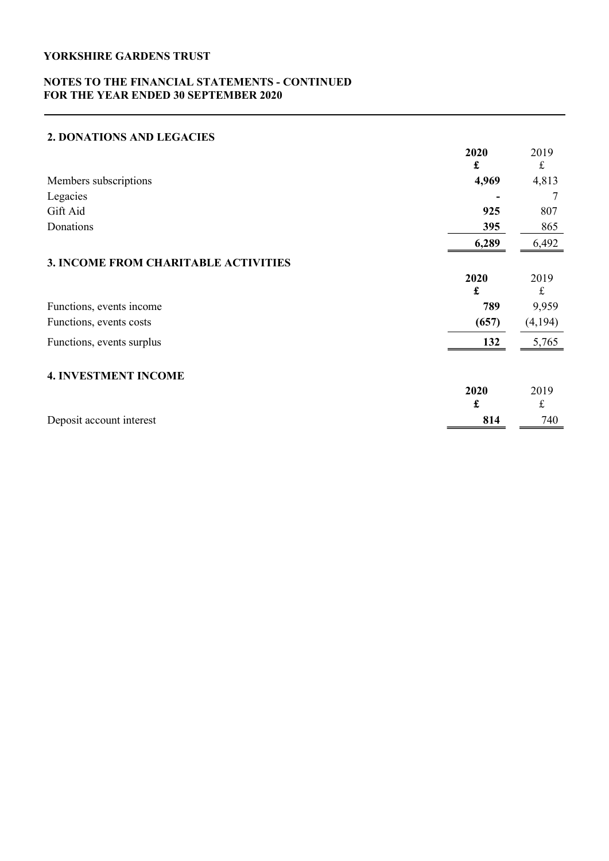## NOTES TO THE FINANCIAL STATEMENTS - CONTINUED FOR THE YEAR ENDED 30 SEPTEMBER 2020

# 2. DONATIONS AND LEGACIES

|                                      | 2020  | 2019    |
|--------------------------------------|-------|---------|
|                                      | £     | £       |
| Members subscriptions                | 4,969 | 4,813   |
| Legacies                             |       | 7       |
| Gift Aid                             | 925   | 807     |
| Donations                            | 395   | 865     |
|                                      | 6,289 | 6,492   |
| 3. INCOME FROM CHARITABLE ACTIVITIES |       |         |
|                                      | 2020  | 2019    |
|                                      | £     | £       |
| Functions, events income             | 789   | 9,959   |
| Functions, events costs              | (657) | (4,194) |
| Functions, events surplus            | 132   | 5,765   |
| <b>4. INVESTMENT INCOME</b>          |       |         |
|                                      | 2020  | 2019    |
|                                      | £     | £       |
| Deposit account interest             | 814   | 740     |
|                                      |       |         |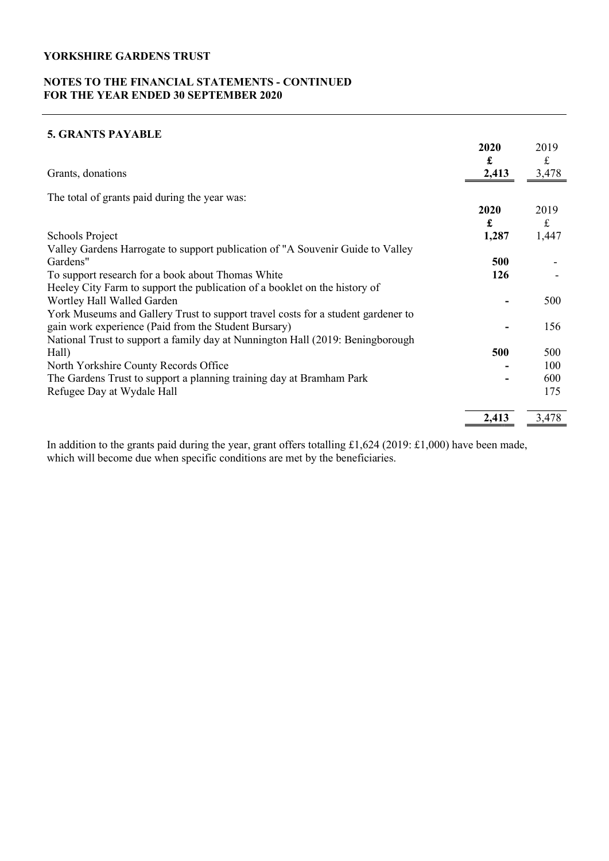## NOTES TO THE FINANCIAL STATEMENTS - CONTINUED FOR THE YEAR ENDED 30 SEPTEMBER 2020

# 5. GRANTS PAYABLE

|                                                                                  | 2020  | 2019        |
|----------------------------------------------------------------------------------|-------|-------------|
|                                                                                  | £     | $\mathbf f$ |
| Grants, donations                                                                | 2,413 | 3,478       |
| The total of grants paid during the year was:                                    |       |             |
|                                                                                  | 2020  | 2019        |
|                                                                                  | £     | $\mathbf f$ |
| Schools Project                                                                  | 1,287 | 1,447       |
| Valley Gardens Harrogate to support publication of "A Souvenir Guide to Valley   |       |             |
| Gardens"                                                                         | 500   |             |
| To support research for a book about Thomas White                                | 126   |             |
| Heeley City Farm to support the publication of a booklet on the history of       |       |             |
| Wortley Hall Walled Garden                                                       |       | 500         |
| York Museums and Gallery Trust to support travel costs for a student gardener to |       |             |
| gain work experience (Paid from the Student Bursary)                             |       | 156         |
| National Trust to support a family day at Nunnington Hall (2019: Beningborough   |       |             |
| Hall)                                                                            | 500   | 500         |
| North Yorkshire County Records Office                                            |       | 100         |
| The Gardens Trust to support a planning training day at Bramham Park             |       | 600         |
| Refugee Day at Wydale Hall                                                       |       | 175         |
|                                                                                  | 2,413 | 3,478       |

In addition to the grants paid during the year, grant offers totalling £1,624 (2019: £1,000) have been made, which will become due when specific conditions are met by the beneficiaries.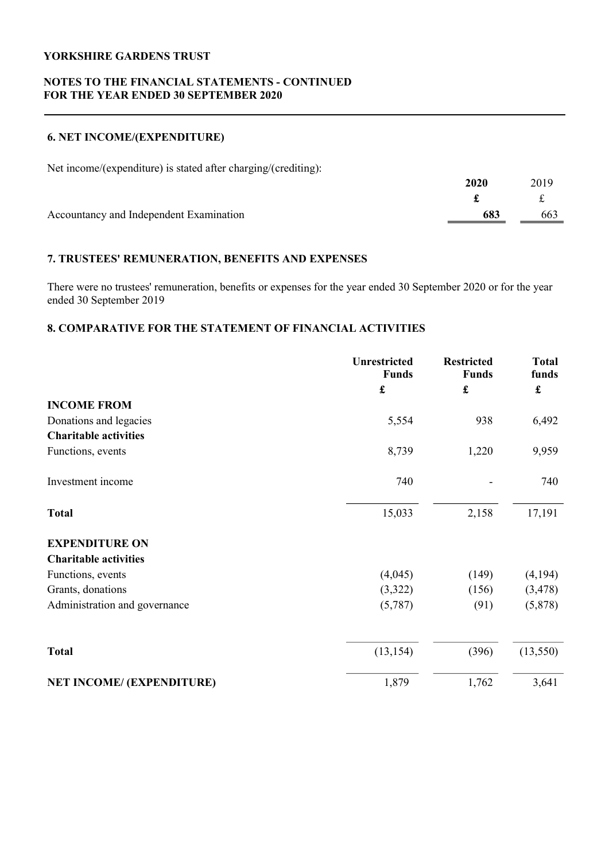## NOTES TO THE FINANCIAL STATEMENTS - CONTINUED FOR THE YEAR ENDED 30 SEPTEMBER 2020

## 6. NET INCOME/(EXPENDITURE)

Net income/(expenditure) is stated after charging/(crediting):

|                                         | 2020 | 2019 |
|-----------------------------------------|------|------|
|                                         |      |      |
| Accountancy and Independent Examination | 683  | 663  |

## 7. TRUSTEES' REMUNERATION, BENEFITS AND EXPENSES

There were no trustees' remuneration, benefits or expenses for the year ended 30 September 2020 or for the year ended 30 September 2019

## 8. COMPARATIVE FOR THE STATEMENT OF FINANCIAL ACTIVITIES

|                                  | Unrestricted<br><b>Funds</b> | <b>Restricted</b><br><b>Funds</b> | <b>Total</b><br>funds |
|----------------------------------|------------------------------|-----------------------------------|-----------------------|
|                                  | £                            | £                                 | £                     |
| <b>INCOME FROM</b>               |                              |                                   |                       |
| Donations and legacies           | 5,554                        | 938                               | 6,492                 |
| <b>Charitable activities</b>     |                              |                                   |                       |
| Functions, events                | 8,739                        | 1,220                             | 9,959                 |
| Investment income                | 740                          |                                   | 740                   |
| <b>Total</b>                     | 15,033                       | 2,158                             | 17,191                |
| <b>EXPENDITURE ON</b>            |                              |                                   |                       |
| <b>Charitable activities</b>     |                              |                                   |                       |
| Functions, events                | (4,045)                      | (149)                             | (4,194)               |
| Grants, donations                | (3,322)                      | (156)                             | (3, 478)              |
| Administration and governance    | (5,787)                      | (91)                              | (5,878)               |
| <b>Total</b>                     | (13, 154)                    | (396)                             | (13, 550)             |
| <b>NET INCOME/ (EXPENDITURE)</b> | 1,879                        | 1,762                             | 3,641                 |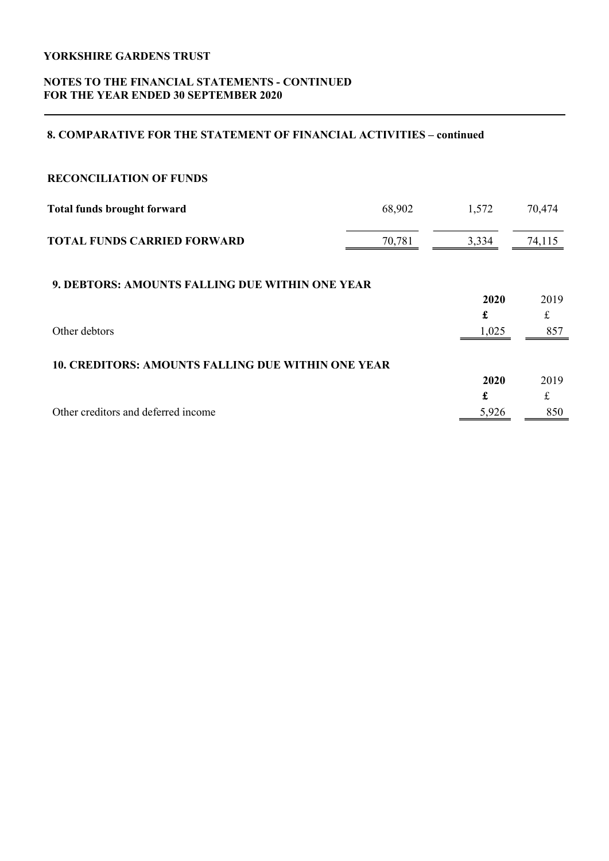## NOTES TO THE FINANCIAL STATEMENTS - CONTINUED FOR THE YEAR ENDED 30 SEPTEMBER 2020

## 8. COMPARATIVE FOR THE STATEMENT OF FINANCIAL ACTIVITIES – continued

| <b>RECONCILIATION OF FUNDS</b>                            |        |       |        |
|-----------------------------------------------------------|--------|-------|--------|
| <b>Total funds brought forward</b>                        | 68,902 | 1,572 | 70,474 |
| <b>TOTAL FUNDS CARRIED FORWARD</b>                        | 70,781 | 3,334 | 74,115 |
| <b>9. DEBTORS: AMOUNTS FALLING DUE WITHIN ONE YEAR</b>    |        |       |        |
|                                                           |        | 2020  | 2019   |
|                                                           |        | £     | £      |
| Other debtors                                             |        | 1,025 | 857    |
| <b>10. CREDITORS: AMOUNTS FALLING DUE WITHIN ONE YEAR</b> |        |       |        |
|                                                           |        | 2020  | 2019   |
|                                                           |        | £     | £      |
| Other creditors and deferred income                       |        | 5,926 | 850    |
|                                                           |        |       |        |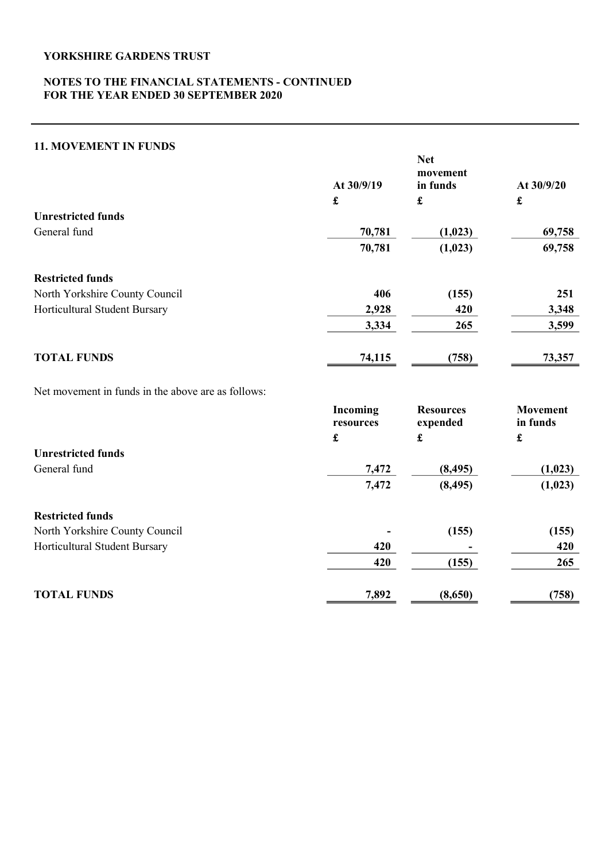## NOTES TO THE FINANCIAL STATEMENTS - CONTINUED FOR THE YEAR ENDED 30 SEPTEMBER 2020

## 11. MOVEMENT IN FUNDS

|                                                    | At 30/9/19            | <b>Net</b><br>movement<br>in funds | At $30/9/20$                |
|----------------------------------------------------|-----------------------|------------------------------------|-----------------------------|
|                                                    | $\pmb{\mathbf{f}}$    | $\pmb{\mathfrak{L}}$               | £                           |
| <b>Unrestricted funds</b>                          |                       |                                    |                             |
| General fund                                       | 70,781                | (1,023)                            | 69,758                      |
|                                                    | 70,781                | (1,023)                            | 69,758                      |
| <b>Restricted funds</b>                            |                       |                                    |                             |
| North Yorkshire County Council                     | 406                   | (155)                              | 251                         |
| Horticultural Student Bursary                      | 2,928                 | 420                                | 3,348                       |
|                                                    | 3,334                 | 265                                | 3,599                       |
| <b>TOTAL FUNDS</b>                                 | 74,115                | (758)                              | 73,357                      |
| Net movement in funds in the above are as follows: |                       |                                    |                             |
|                                                    | Incoming<br>resources | <b>Resources</b><br>expended       | <b>Movement</b><br>in funds |

|                                | £     | £        | £       |
|--------------------------------|-------|----------|---------|
| <b>Unrestricted funds</b>      |       |          |         |
| General fund                   | 7,472 | (8, 495) | (1,023) |
|                                | 7,472 | (8, 495) | (1,023) |
| <b>Restricted funds</b>        |       |          |         |
| North Yorkshire County Council |       | (155)    | (155)   |
| Horticultural Student Bursary  | 420   |          | 420     |
|                                | 420   | (155)    | 265     |
| <b>TOTAL FUNDS</b>             | 7,892 | (8,650)  | (758)   |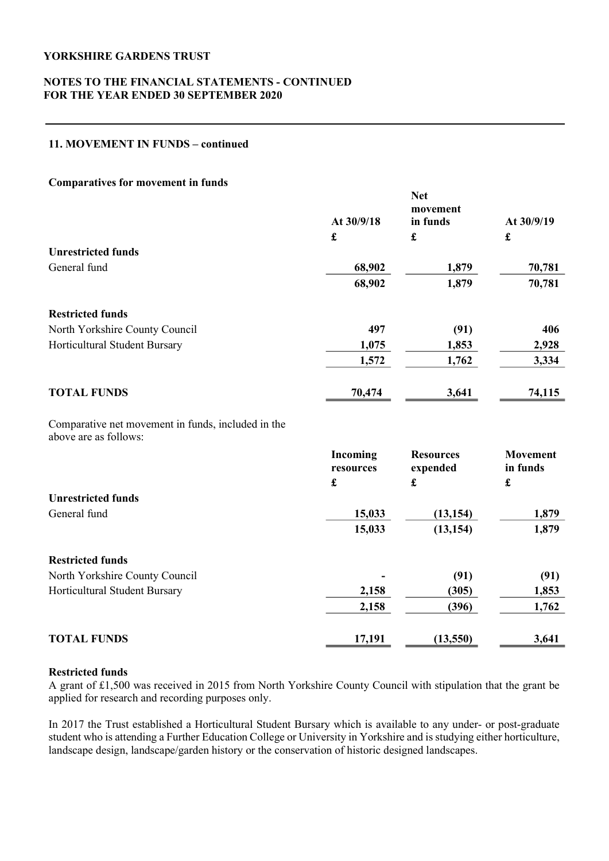## NOTES TO THE FINANCIAL STATEMENTS - CONTINUED FOR THE YEAR ENDED 30 SEPTEMBER 2020

## 11. MOVEMENT IN FUNDS – continued

### Comparatives for movement in funds

|                                                                             | <b>Net</b>            |                              |                             |  |
|-----------------------------------------------------------------------------|-----------------------|------------------------------|-----------------------------|--|
|                                                                             |                       | movement                     | At 30/9/19                  |  |
|                                                                             | At 30/9/18            | in funds                     |                             |  |
|                                                                             | £                     | £                            | $\pmb{\mathfrak{L}}$        |  |
| <b>Unrestricted funds</b>                                                   |                       |                              |                             |  |
| General fund                                                                | 68,902                | 1,879                        | 70,781                      |  |
|                                                                             | 68,902                | 1,879                        | 70,781                      |  |
| <b>Restricted funds</b>                                                     |                       |                              |                             |  |
| North Yorkshire County Council                                              | 497                   | (91)                         | 406                         |  |
| Horticultural Student Bursary                                               | 1,075                 | 1,853                        | 2,928                       |  |
|                                                                             | 1,572                 | 1,762                        | 3,334                       |  |
| <b>TOTAL FUNDS</b>                                                          | 70,474                | 3,641                        | 74,115                      |  |
| Comparative net movement in funds, included in the<br>above are as follows: |                       |                              |                             |  |
|                                                                             | Incoming<br>resources | <b>Resources</b><br>expended | <b>Movement</b><br>in funds |  |
|                                                                             | $\mathbf f$           | £                            | $\pmb{\mathfrak{L}}$        |  |
| <b>Unrestricted funds</b>                                                   |                       |                              |                             |  |
| General fund                                                                | 15,033                | (13, 154)                    | 1,879                       |  |
|                                                                             | 15,033                | (13, 154)                    | 1,879                       |  |
| <b>Restricted funds</b>                                                     |                       |                              |                             |  |
| North Yorkshire County Council                                              |                       | (91)                         | (91)                        |  |
| Horticultural Student Bursary                                               | 2,158                 | (305)                        | 1,853                       |  |
|                                                                             | 2,158                 | (396)                        | 1,762                       |  |
| <b>TOTAL FUNDS</b>                                                          | 17,191                | (13,550)                     | 3,641                       |  |

# Restricted funds

A grant of £1,500 was received in 2015 from North Yorkshire County Council with stipulation that the grant be applied for research and recording purposes only.

In 2017 the Trust established a Horticultural Student Bursary which is available to any under- or post-graduate student who is attending a Further Education College or University in Yorkshire and is studying either horticulture, landscape design, landscape/garden history or the conservation of historic designed landscapes.